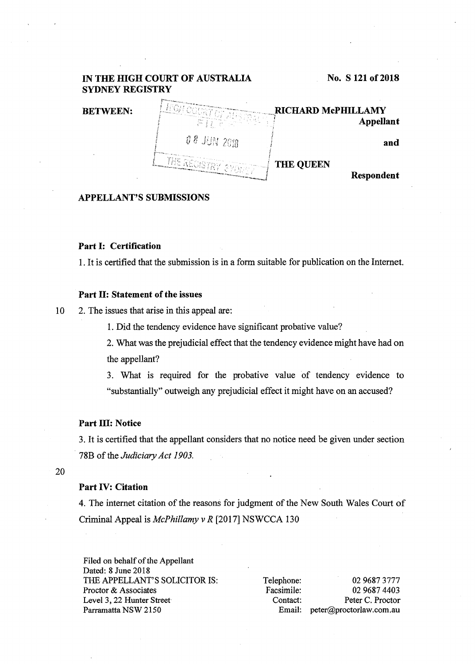#### IN THE HIGH COURT OF AUSTRALIA No. S 121 of 2018 SYDNEY REGISTRY RICHARD McPHILLAMY BETWEEN: *!* Appellant ! 0 8 JUN 2018 *J*  and i THE QUEEN Respondent

#### APPELLANT'S SUBMISSIONS

#### Part I: Certification

1. It is certified that the submission is in a form suitable for publication on the Internet.

### Part II: Statement of the issues

10 2. The issues that arise in this appeal are:

1. Did the tendency evidence have significant probative value?

2. What was the prejudicial effect that the tendency evidence might have had on the appellant?

3. What is required for the probative value of tendency evidence to "substantially" outweigh any prejudicial effect it might have on an accused?

## Part III: Notice

3. It is certified that the appellant considers that no notice need be given under section 78B of the *Judiciary Act 1903.* 

20

### Part IV: Citation

4. The internet citation of the reasons for judgment of the New South Wales Court of Criminal Appeal is *McPhillamy v R* [2017] NSWCCA 130

Filed on behalf of the Appellant Dated: 8 June 2018 THE APPELLANT'S SOLICITOR IS: Proctor & Associates Level 3, 22 Hunter Street Parramatta NSW 2150

Telephone: 02 9687 3777 Facsimile: 02 9687 4403 Contact: Peter C. Proctor Email: peter@proctorlaw.com.au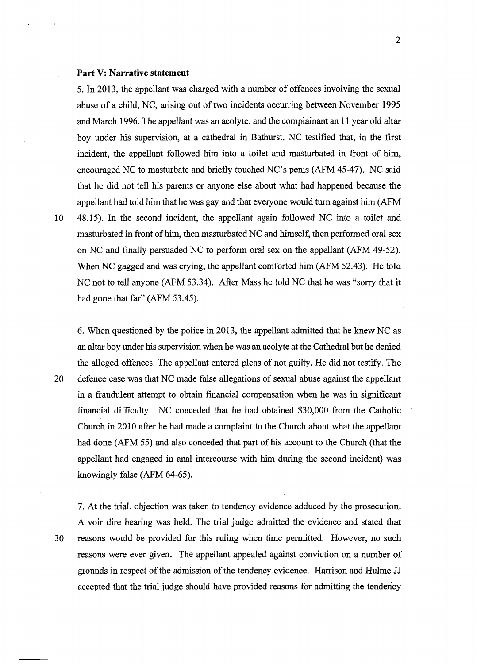#### **Part V: Narrative statement**

5. In 2013, the appellant was charged with a number of offences involving the sexual abuse of a child, NC, arising out of two incidents occurring between November 1995 and March 1996. The appellant was an acolyte, and the complainant an 11 year old altar boy under his supervision, at a cathedral in Bathurst. NC testified that, in the first incident, the appellant followed him into a toilet and masturbated in front of him, encouraged NC to masturbate and briefly touched NC's penis (AFM 45-47). NC said that he did not tell his parents or anyone else about what had happened because the appellant had told him that he was gay and that everyone would turn against him (AFM 10 48.15). In the second incident, the appellant again followed NC into a toilet and

masturbated in front of him, then masturbated NC and himself, then performed oral sex on NC and finally persuaded NC to perform oral sex on the appellant (AFM 49-52). When NC gagged and was crying, the appellant comforted him (AFM 52.43). He told NC not to tell anyone (AFM 53.34). After Mass he told NC that he was "sorry that it had gone that far" (AFM 53.45).

6. When questioned by the police in 2013, the appellant admitted that he knew NC as an altar boy under his supervision when he was an acolyte at the Cathedral but he denied the alleged offences. The appellant entered pleas of not guilty. He did not testify. The 20 defence case was that NC made false allegations of sexual abuse against the appellant in a fraudulent attempt to obtain financial compensation when he was in significant financial difficulty. NC conceded that he had obtained \$30,000 from the Catholic Church in 2010 after he had made a complaint to the Church about what the appellant had done (AFM 55) and also conceded that part of his account to the Church (that the appellant had engaged in anal intercourse with him during the second incident) was knowingly false (AFM 64-65).

7. At the trial, objection was taken to tendency evidence adduced by the prosecution. A voir dire hearing was held. The trial judge admitted the. evidence and stated that 30 reasons would be provided for this ruling when time permitted. However, no such reasons were ever given. The appellant appealed against conviction on a number of grounds in respect of the admission of the tendency evidence. Harrison and Hulme JJ accepted that the trial judge should have provided reasons for admitting the tendency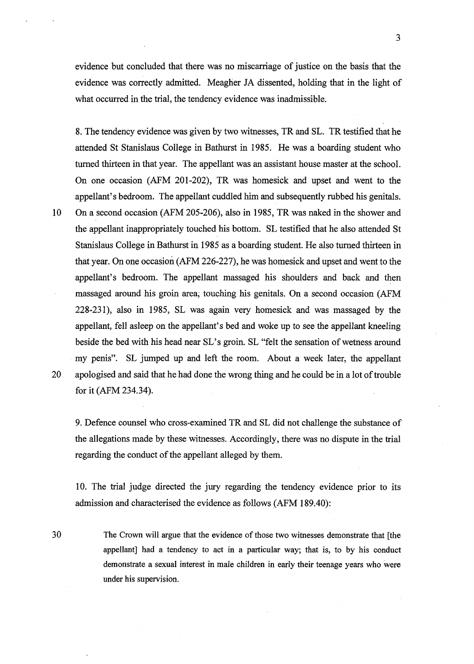evidence but concluded that there was no miscarriage of justice on the basis that the evidence was correctly admitted. Meagher JA dissented, holding that in the light of what occurred in the trial, the tendency evidence was inadmissible.

8. The tendency evidence was given by two witnesses, TR and SL. TR testified that he attended St Stanislaus College in Bathurst in 1985. He was a boarding student who turned thirteen in that year. The appellant was an assistant house master at the school. On one occasion (AFM 201-202), TR was homesick and upset and went to the appellant's bedroom. The appellant cuddled him and subsequently rubbed his genitals. 10 On a second occasion (AFM 205-206), also in 1985, TR was naked in the shower and the appellant inappropriately touched his bottom. SL testified that he also attended St Stanislaus College in Bathurst in 1985 as a boarding student. He also turned thirteen in that year. On one occasion (AFM 226-227), he was homesick and upset and went to the appellant's bedroom. The appellant massaged his shoulders and back and then massaged around his groin area; touching his genitals. On a second occasion (AFM 228-231), also in 1985, SL was again very homesick and was massaged by the appellant, fell asleep on the appellant's bed and woke up to see the appellant kneeling beside the bed with his head near SL's groin. SL "felt the sensation of wetness around my penis". SL jumped up and left the room. About a week later, the appellant 20 .apologised and said that he had done the wrong thing and he could be in a lot of trouble for it (AFM 234.34).

9. Defence counsel who cross-examined TR and SL did not challenge the substance of the allegations made by these witnesses. Accordingly, there was no dispute in the trial regarding the conduct of the appellant alleged by them.

10. The trial judge directed the jury regarding the tendency evidence prior to its admission and characterised the evidence as follows (AFM 189.40):

The Crown will argue that the evidence of those two witnesses demonstrate that [the appellant] had a tendency to act in a particular way; that is, to by his conduct demonstrate a sexual interest in male children in early their teenage years who were under his supervision.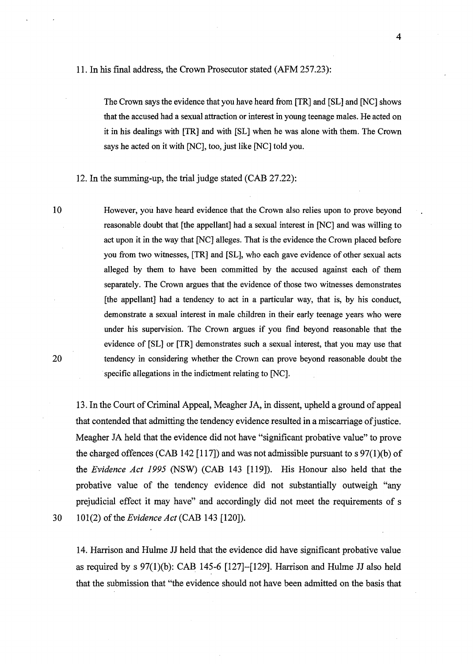The Crown says the evidence that you have heard from [TR] and [SL] and [NC] shows that the accused had a sexual attraction or interest in young teenage males. He acted on it in his dealings with [TR] and with [SL] when he was alone with them. The Crown says he acted on it with [NC], too, just like [NC] told you.

12. In the summing-up, the trial judge stated (CAB 27.22):

However, you have heard evidence that the Crown also relies upon to prove beyond reasonable doubt that [the appellant] had a sexual interest in [NC] and was willing to act upon it in the way that [NC] alleges. That is the evidence the Crown placed before you from two witnesses, [TR] and [SL], who each gave evidence of other sexual acts alleged by them to have been . committed by the accused against each of them separately. The Crown argues that the evidence of those two witnesses demonstrates [the appellant] had a tendency to act in a particular way, that is, by his conduct, demonstrate a sexual interest in male children in their early teenage years who were under his supervision. The Crown argues if you find beyond reasonable that the evidence of [SL] or [TR] demonstrates such a sexual interest, that you may use that tendency in considering whether the Crown can prove beyond reasonable doubt the specific allegations in the indictment relating to [NC].

13. In the Court of Criminal Appeal, Meagher JA, in dissent, upheld a ground of appeal that contended that admitting the tendency evidence resulted in a miscarriage of justice. Meagher JA held that the evidence did not have "significant probative value" to prove the charged offences (CAB 142 [117]) and was not admissible pursuant to s  $97(1)(b)$  of the *Evidence Act 1995* (NSW) (CAB 143 [119]). His Honour also held that the probative value of the tendency evidence did not substantially outweigh "any prejudicial effect it may have" and accordingly did not meet the requirements of s 30 101(2) of the *Evidence Act* (CAB 143 [120]).

10

20

14. Harrison and Hulme JJ held that the evidence did have significant probative value as required by s 97(1)(b): CAB 145-6 [127]-[129]. Harrison and Hulme JJ also held that the submission that "the evidence should not have been admitted on the basis that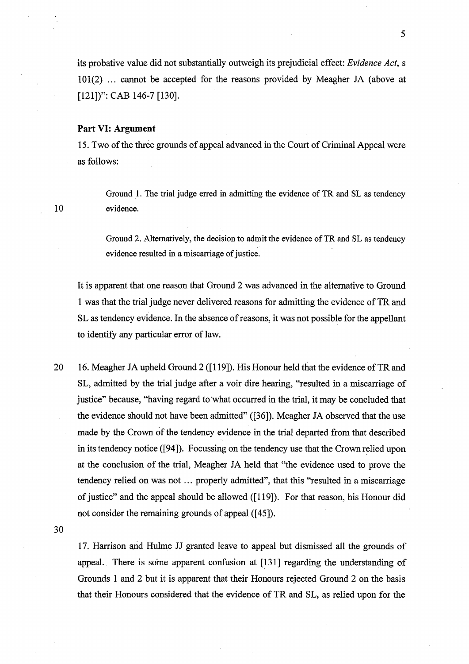#### **Part** VI: **Argument**

15. Two of the three grounds of appeal advanced in the Court of Criminal Appeal were as follows:

Ground 1. The trial judge erred in admitting the evidence of TR and SL as tendency evidence.

Ground 2. Alternatively, the decision to admit the evidence of TR and SL as tendency evidence resulted in a miscarriage of justice.

It is apparent that one reason that Ground 2 was advanced in the alternative to Ground 1 was that the trial judge never delivered reasons for admitting the evidence of TR and SL as tendency evidence. In the absence of reasons, it was not possible for the appellant to identify any particular error of law.

20 16. Meagher JA upheld Ground 2 ([119]). His Honour held that the evidence of TR and SL, admitted by the trial judge after a voir dire hearing, "resulted in a miscarriage of justice" because, "having regard to what occurred in the trial, it may be concluded that the evidence should not have been admitted" ([36]). Meagher JA observed that the use made by the Crown of the tendency evidence in the trial departed from that described in its tendency notice ([94]). Focussing on the tendency use that the Crown relied upon at the conclusion of the trial, Meagher JA held that "the evidence used to prove the tendency relied on was not ... properly admitted", that this "resulted in a miscarriage of justice" and the appeal should be allowed ([119]). For that reason, his Honour did not consider the remaining grounds of appeal ([45]).

30

10

17. Harrison and Hulme JJ granted leave to appeal but dismissed all the grounds of appeal. There is some apparent confusion at [131] regarding the understanding of Grounds 1 and 2 but it is apparent that their Honours rejected Ground 2 on the basis that their Honours considered that the evidence of TR and SL, as relied upon for the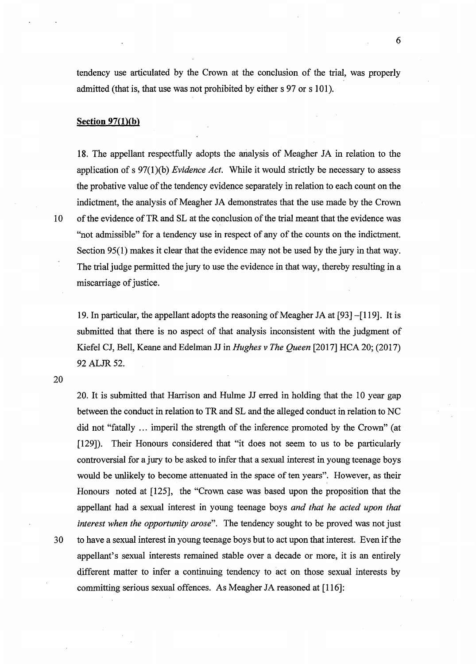tendency use articulated by the Crown at the conclusion of the trial, was properly admitted (that is, that use was not prohibited by either s 97 or s 101).

#### **Section 97(1)(b)**

18. The appellant respectfully adopts the analysis of Meagher JA in relation to the application of s 97(1 )(b) *Evidence Act.* While it would strictly be necessary to assess the probative value of the tendency evidence separately in relation to each count on the indictment, the analysis of Meagher JA demonstrates that the use made by the Crown 10 of the evidence of TR and SL at the conclusion of the trial meant that the evidence was "not admissible" for a tendency use in respect of any of the counts on the indictment. Section 95(1) makes it clear that the evidence may not be used by the jury in that way. The trial judge permitted the jury to use the evidence in that way, thereby resulting in a miscarriage of justice.

19. In particular, the appellant adopts the reasoning of Meagher JA at [93] -[119]. It is submitted that there is no aspect of that analysis inconsistent with the judgment of Kiefel CJ, Bell, Keane and Edelman JJ in *Hughes v The Queen* [2017] HCA 20; (2017) 92 ALJR 52.

20

20. It is submitted that Harrison and Hulme JJ erred in holding that the 10 year gap between the conduct in relation to TR and SL and the alleged conduct in relation to NC did not "fatally ... imperil the strength of the inference promoted by the Crown" (at [129]). Their Honours considered that "it does not seem to us to be particularly controversial for a jury to be asked to infer that a sexual interest in young teenage boys would be unlikely to become attenuated in the space of ten years". However, as their Honours noted at [125], the "Crown case was based upon the proposition that the appellant had a sexual interest in young teenage boys *and that he acted upon that interest when the opportunity arose".* The tendency sought to be proved was not just 30 to have a sexual interest in young teenage boys but to act upon that interest. Even if the appellant's sexual interests remained stable over a decade or more, it is an entirely different matter to infer a continuing tendency to act on those sexual interests by committing serious sexual offences. As Meagher JA reasoned at [116]: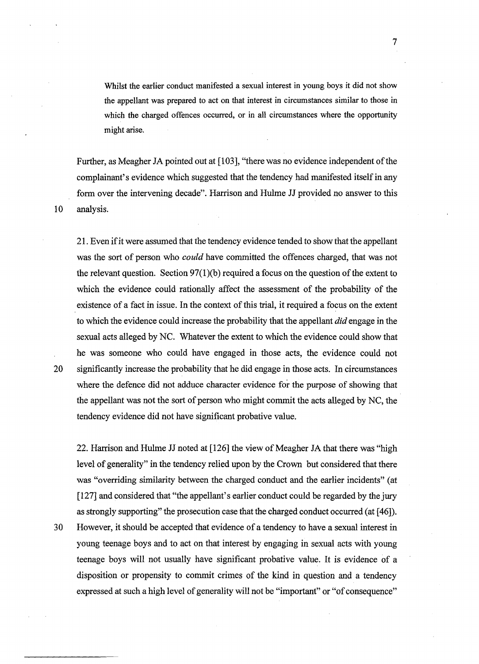Whilst the earlier conduct manifested a sexual interest in young boys it did not show the appellant was prepared to act on that interest in circumstances similar to those in which the charged offences occurred, or in all circumstances where the opportunity might arise.

Further, as Meagher JA pointed out at [103], "there was no evidence independent of the complainant's evidence which suggested that the tendency had manifested itself in any form over the intervening decade". Harrison and Hulme JJ provided no answer to this 10 analysis.

21. Even if it were assumed that the tendency evidence tended to show that the appellant was the sort of person who *could* have committed the offences charged, that was not the relevant question. Section  $97(1)(b)$  required a focus on the question of the extent to which the evidence could rationally affect the assessment of the probability of the existence of a fact in issue. In the context of this trial, it required a focus on the extent to which the evidence could increase the probability that the appellant *did* engage in the sexual acts alleged by NC. Whatever the extent to which the evidence could show that he was someone who could have engaged in those acts, the evidence could not 20 significantly increase the probability that he did engage in those acts. In circumstances where the defence did not adduce character evidence for the purpose of showing that the appellant was not the sort of person who might commit the acts alleged by NC, the tendency evidence did not have significant probative value.

22. Harrison and Hulme JJ noted at [126] the view of Meagher JA that there was "high level of generality" in the tendency relied upon by the Crown but considered that there was "overriding similarity between the charged conduct and the earlier incidents" (at [127] and considered that "the appellant's earlier conduct could be regarded by the jury as strongly supporting" the prosecution case that the charged conduct occurred (at [ 46]). 30 However, it should be accepted that evidence of a tendency to have a sexual interest in young teenage boys and to act on that interest by engaging in sexual acts with young teenage boys will not usually have significant probative value. It is evidence of a disposition or propensity to commit crimes of the kind in question and a tendency expressed at such a high level of generality will not be "important" or "of consequence"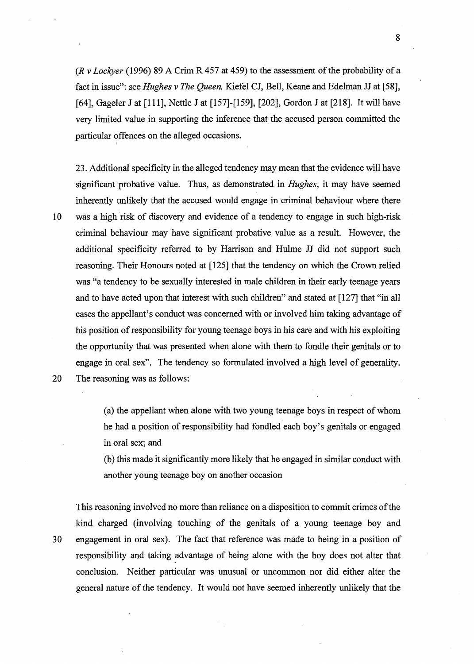*(R v Lockyer* (1996) 89 A Crim R 457 at 459) to the assessment of the probability of a fact in issue": see *Hughes v The Queen,* Kiefel CJ, Bell, Keane and Edelman JJ at [58], [64], Gageler J at [111], Nettle J at [157]-[159], [202], Gordon J at [218]. It will have very limited value in supporting the inference that the accused person committed the particular offences on the alleged occasions.

23. Additional specificity in the alleged tendency may mean that the evidence will have significant probative value. Thus, as demonstrated in *Hughes,* it may have seemed inherently unlikely that the accused would engage in criminal behaviour where there 10 was a high risk of discovery and evidence of a tendency to engage in such high-risk criminal behaviour may have significant probative value as a result. However, the additional specificity referred to by Harrison and Hulme JJ did not support such reasoning. Their Honours noted at [125] that the tendency on which the Crown relied was "a tendency to be sexually interested in male children in their early teenage years and to have acted upon that interest with such children" and stated at [127] that "in all cases the appellant's conduct was concerned with or involved him taking advantage of his position of responsibility for young teenage boys in his care and with his exploiting the opportunity that was presented when alone with them to fondle their genitals or to engage in oral sex". The tendency so formulated involved a high level of generality. 20 The reasoning was as follows:

(a) the appellant when alone with two young teenage boys in respect of whom he had a position of responsibility had fondled each boy's genitals or engaged in oral sex; and

(b) this made it significantly more likely that he engaged in similar conduct with another young teenage boy on another occasion

This reasoning involved no more than reliance on a disposition to commit crimes of the kind charged (involving touching of the genitals of a young teenage boy and 30 engagement in oral sex). The fact that reference was made to being in a position of responsibility and taking advantage of being alone with the boy does not alter that conclusion. Neither particular was unusual or uncommon nor did either alter the general nature of the tendency. It would not have seemed inherently unlikely that the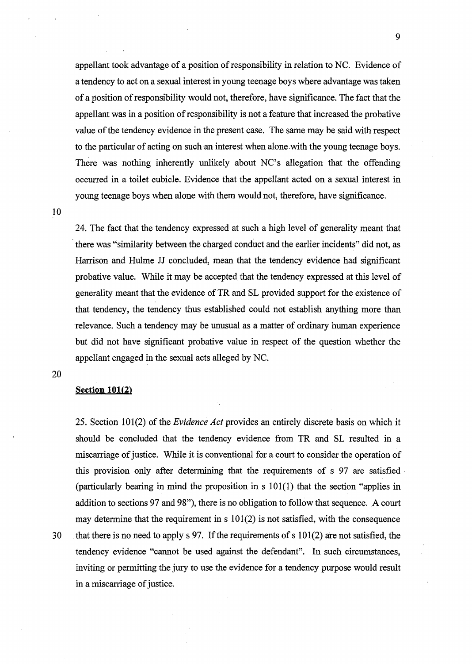appellant took advantage of a position of responsibility in relation to NC. Evidence of a tendency to act on a sexual interest in young teenage boys where advantage was taken of a position of responsibility would not, therefore, have significance. The fact that the appellant was in a position of responsibility is not a feature that increased the probative value of the tendency evidence in the present case. The same may be said with respect to the particular of acting on such an interest when alone with the young teenage boys. There was nothing inherently unlikely about NC's allegation that the offending occurred in a toilet cubicle. Evidence that the appellant acted on a sexual interest in young teenage boys when alone with them would not, therefore, have significance.

10

24. The fact that the tendency expressed at such a high level of generality meant that · there was "similarity between the charged conduct and the earlier incidents" did not, as Harrison and Hulme JJ concluded, mean that the tendency evidence had significant probative value. While it may be accepted that the tendency expressed at this level of generality meant that the evidence of TR and SL provided support for the existence of that tendency, the tendency thus established could not establish anything more than relevance. Such a tendency may be unusual as a matter of ordinary human experience but did not have significant probative value in respect of the question whether the appellant engaged in the sexual acts alleged by NC.

20

# **Section 101(2)**

25. Section 101(2) of the *Evidence Act* provides an entirely discrete basis on which it should be concluded that the tendency evidence from TR and SL resulted in a miscarriage of justice. While it is conventional for a court to consider the operation of this provision only after determining that the requirements of s 97 are satisfied · (particularly bearing in mind the proposition in s 101(1) that the section "applies in addition to sections 97 and 98"), there is no obligation to follow that sequence. A court may determine that the requirement in  $s$  101(2) is not satisfied, with the consequence 30 that there is no need to apply s 97. If the requirements of s 101(2) are not satisfied, the tendency evidence "cannot be used against the defendant". In such circumstances, inviting or permitting the jury to use the evidence for a tendency purpose would result in a miscarriage of justice.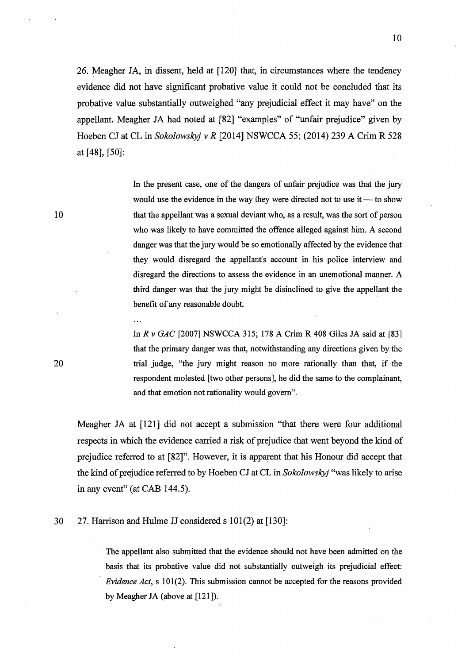26. Meagher JA, in dissent, held at [120] that, in circumstances where the tendency evidence did not have significant probative value it could not be concluded that its probative value substantially outweighed "any prejudicial effect it may have" on the appellant. Meagher JA had noted at [82] "examples" of "unfair prejudice" given by Hoeben CJ at CL in *Sokolowskyj v R* [2014] NSWCCA 55; (2014) 239 A Crim R 528 at [48], [50]:

> In the present case, one of the dangers of unfair prejudice was that the jury would use the evidence in the way they were directed not to use it  $-$  to show that the appellant was a sexual deviant who, as a result, was the sort of person who was likely to have committed the offence alleged against him. A second danger was that the jury would be so emotionally affected by the evidence that they would disregard the appellant's account in his police interview and disregard the directions to assess the evidence in an unemotional manner. A third danger was that the jury might be disinclined to give the appellant the benefit of any reasonable doubt.

> In *R v GAC* [2007] NSWCCA 315; 178 A Crim R 408 Giles JA said at [83] that the primary danger was that, notwithstanding any directions given by the trial judge, "the jury might reason no more rationally than that, if the respondent molested [two other persons], he did the same to the complainant, and that emotion not rationality would govern".

Meagher JA at [121] did not accept a submission "that there were four additional respects in which the evidence carried a risk of prejudice that went beyond the kind of prejudice referred to at [82]". However, it is apparent that his Honour did accept that the kind of prejudice referred to by Hoe ben CJ at CL in *Sokolowskyj* "was likely to arise in any event" (at CAB 144.5).

30 27. Harrison and Hulme JJ considered s 101(2) at [130]:

 $\ddotsc$ 

The appellant also submitted that the evidence should not have been admitted on the basis that its probative value did not substantially outweigh its prejudicial effect: *Evidence Act,* s 101(2). This submission cannot be accepted for the reasons provided by Meagher JA (above at [121]).

20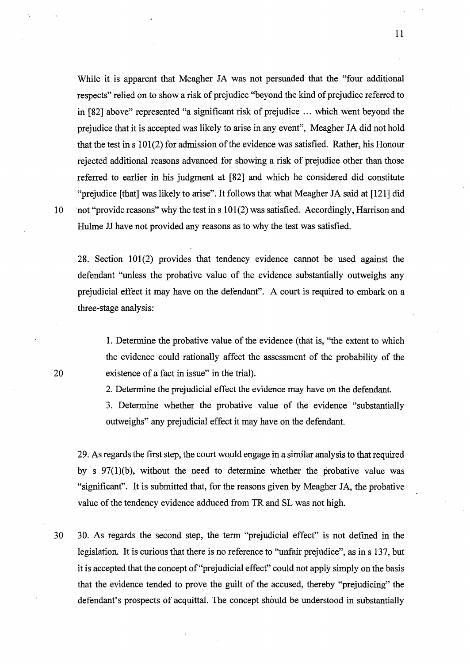While it is apparent that Meagher JA was not persuaded that the "four additional respects" relied on to show a risk of prejudice "beyond the kind of prejudice referred to in [82] above" represented "a significant risk of prejudice ... which went beyond the prejudice that it is accepted was likely to arise in any event", Meagher JA did not hold that the test in s 101(2) for admission of the evidence was satisfied. Rather, his Honour rejected additional reasons advanced for showing a risk of prejudice other than those referred to earlier in his judgment at [82] and which he considered did constitute "prejudice [that] was likely to arise". It follows that what Meagher JA said at [121] did 10 in the "provide reasons" why the test in s 101(2) was satisfied. Accordingly, Harrison and Hulme JJ have not provided any reasons as to why the test was satisfied.

28. Section 101(2) provides that tendency evidence cannot be used against the defendant "unless the probative value of the evidence substantially outweighs any prejudicial effect it may have on the defendant". A court is required to embark on a three-stage analysis:

1. Determine the probative value of the evidence (that is, "the extent to which the evidence could rationally affect the assessment of the probability of the existence of a fact in issue" in the trial).

2. Determine the prejudicial effect the evidence may have on the defendant.

3. Determine whether the probative value of the evidence "substantially outweighs" any prejudicial effect it may have on the defendant.

29. As regards the first step, the court would engage in a similar analysis to that required by s 97(1)(b), without the need to determine whether the probative value was "significant". It is submitted that, for the reasons given by Meagher JA, the probative value of the tendency evidence adduced from TR and SL was not high.

30 30. As regards the second step, the term "prejudicial effect" is not defined in the legislation. It is curious that there is no reference to "unfair prejudice", as in s 137, but it is accepted that the concept of"prejudicial effect" could not apply simply on the basis that the evidence tended to prove the guilt of the accused, thereby "prejudicing" the defendant's prospects of acquittal. The concept should be understood in substantially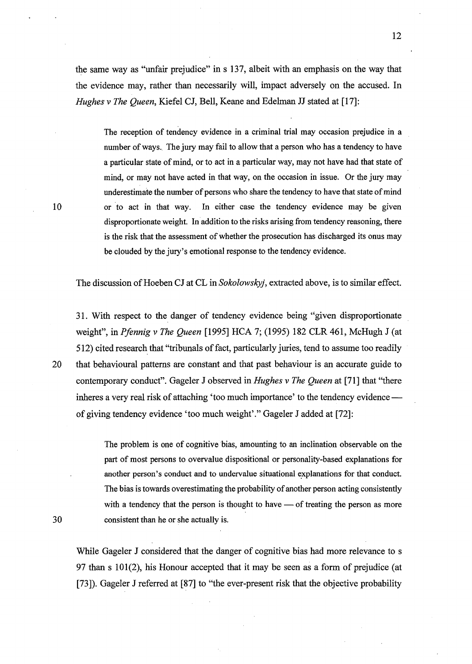the same way as "unfair prejudice" in s 137, albeit with an emphasis on the way that the evidence may, rather than necessarily will, impact adversely on the accused. In *Hughes v The Queen,* Kiefel CJ, Bell, Keane and Edelman JJ stated at [17]:

The reception of tendency evidence in a criminal trial may occasion prejudice in a number of ways. The jury may fail to allow that a person who has a tendency to have a particular state of mind, or to act in a particular way, may not have had that state of mind, or may not have acted in that way, on the occasion in issue. Or the jury may underestimate the number of persons who share the tendency to have that state of mind or to act in that way. In either case the tendency evidence may be given disproportionate weight. In addition to the risks arising from tendency reasoning, there is the risk that the assessment of whether the prosecution has discharged its onus may be clouded by the jury's emotional response to the tendency evidence.

The discussion of Hoeben CJ at CL in *Sokolowskyj*, extracted above, is to similar effect.

31. With respect to the danger of tendency evidence being "given disproportionate weight", in *Pfennig v The Queen* [1995] HCA 7; (1995) 182 CLR 461, McHugh J (at 512) cited research that "tribunals of fact, particularly juries, tend to assume too readily 20 that behavioural patterns are constant and that past behaviour is an accurate guide to contemporary conduct". Gageler J observed in *Hughes v The Queen* at [71] that "there inheres a very real risk of attaching 'too much importance' to the tendency evidence of giving tendency evidence 'too much weight'." Gageler J added at [72]:

> The problem is one of cognitive bias, amounting to an inclination observable on the part of most persons to overvalue dispositional or personality-based explanations for another person's conduct and to undervalue situational explanations for that conduct. The bias is towards overestimating the probability of another person acting consistently with a tendency that the person is thought to have  $\sim$  of treating the person as more consistent than he or she actually is.

While Gageler J considered that the danger of cognitive bias had more relevance to s 97 than s  $101(2)$ , his Honour accepted that it may be seen as a form of prejudice (at [73]). Gageler J referred at [87] to "the ever-present risk that the objective probability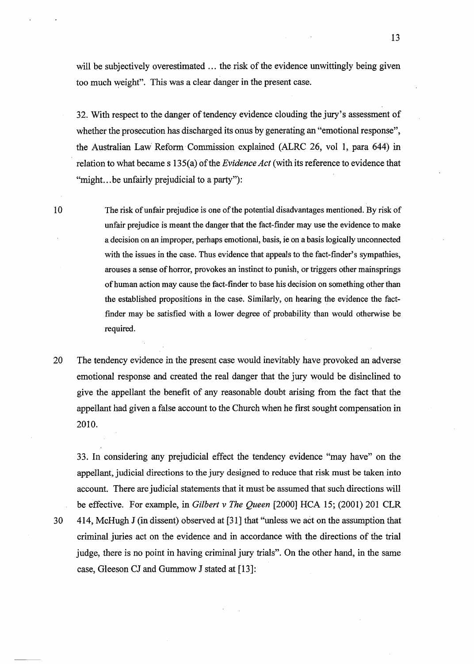will be subjectively overestimated ... the risk of the evidence unwittingly being given too much weight". This was a clear danger in the present case.

32. With respect to the danger of tendency evidence clouding the jury's assessment of whether the prosecution has discharged its onus by generating an "emotional response", the Australian Law Reform· Commission explained (ALRC 26, vol I, para 644) in relation to what became s 135(a) of the *Evidence Act* (with its reference to evidence that "might... be unfairly prejudicial to a party"):

10

The risk of unfair prejudice is one of the potential disadvantages mentioned. By risk of unfair prejudice is meant the danger that the fact-finder may use the evidence to make a decision on an improper, perhaps emotional, basis, ie on a basis logically unconnected with the issues in the case. Thus evidence that appeals to the fact-finder's sympathies, arouses a sense of horror, provokes an instinct to punish, or triggers other mainsprings of human action may cause the fact-finder to base his decision on something other than the established propositions in the case. Similarly, on hearing the evidence the factfinder may be satisfied with a lower degree of probability than would otherwise be required.

20 The tendency evidence in the present case would inevitably have provoked an adverse emotional response and created the real danger that the jury would be disinclined to give the appellant the benefit of any reasonable doubt arising from the fact that the appellant had given a false account to the Church when he first sought compensation in 2010.

33. In considering any prejudicial effect the tendency evidence "may have" on the appellant, judicial directions to the jury designed to reduce that risk must be taken into account. There are judicial statements that it must be assumed that such directions will be effective. For example, in *Gilbert v The Queen* [2000] HCA 15; (2001) 201 CLR 30 414, McHugh J (in dissent) observed at [31] that "unless we act on the assumption that criminal juries act on the evidence and in accordance with the directions of the trial judge, there is no point in having criminal jury trials". On the other hand, in the same case, Gleeson CJ and Gummow J stated at [13]: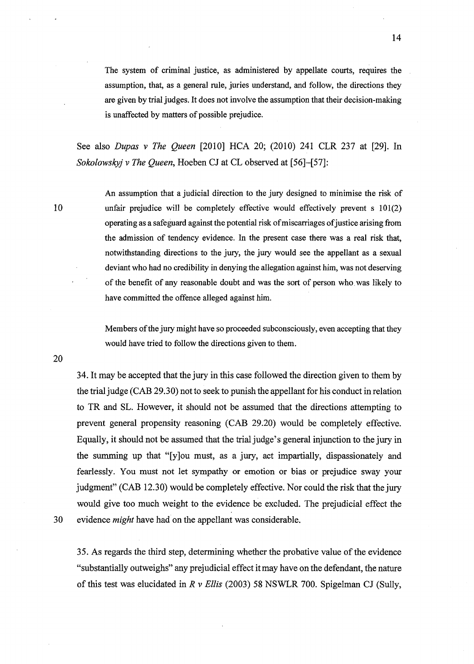The system of criminal justice, as administered by appellate courts, requires the assumption, that, as a general rule, juries understand, and follow, the directions they are given by trial judges. It does not involve the assumption that their decision-making is unaffected by matters of possible prejudice.

See also *Dupas v The Queen* [2010] HCA 20; (2010) 241 CLR 237 at [29]. In *Sokolowskyj v The Queen,* Hoeben CJ at CL observed at [56]-[57]:

10

An assumption that a judicial direction to the jury designed to minimise the risk of unfair prejudice will be completely effective would effectively prevent  $s$  101(2) operating as a safeguard against the potential risk of miscarriages of justice arising from the admission of tendency evidence. In the present case there was a real risk that, notwithstanding directions to the jury, the jury would see the appellant as a sexual deviant who had no credibility in denying the allegation against him, was not deserving of the benefit of any reasonable doubt and was the sort of person who. was likely to have committed the offence alleged against him.

Members of the jury might have so proceeded subconsciously, even accepting that they would have tried to follow the directions given to them.

20

34. It may be accepted that the jury in this case followed the direction given to them by the trial judge (CAB 29.30) not to seek to punish the appellant for his conduct in relation to TR and SL. However, it should not be assumed that the directions attempting to prevent general propensity reasoning (CAB 29.20) would be completely effective. Equally, it should not be assumed that the trial judge's general injunction to the jury in the summing up that "[y]ou must, as a jury, act impartially, dispassionately and fearlessly. You must not let sympathy or emotion or bias or prejudice sway your judgment" (CAB 12.30) would be completely effective. Nor could the risk that the jury would give too much weight to the evidence be excluded. The prejudicial effect the 30 evidence *might* have had on the appellant was considerable.

35. As regards the third step, determining whether the probative value of the evidence "substantially outweighs" any prejudicial effect it may have on the defendant, the nature of this test was elucidated in *R v Ellis* (2003) 58 NSWLR 700. Spigelman CJ (Sully,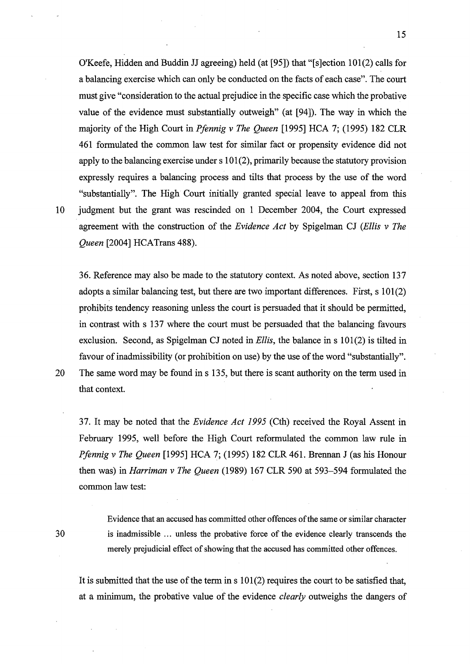O'Keefe, Hidden and Buddin JJ agreeing) held (at [95]) that "[s]ection 101(2) calls for a balancing exercise which can only be conducted on the facts of each case". The court must give "consideration to the actual prejudice in the specific case which the probative value of the evidence must substantially outweigh" (at [94]). The way in which the majority of the High Court in *Pfennig v The Queen* [1995] HCA 7; (1995) 182 CLR 461 formulated the common law test for similar fact or propensity evidence did not apply to the balancing exercise under  $s 101(2)$ , primarily because the statutory provision expressly requires a balancing process and tilts that process by the use of the word "substantially". The High Court initially granted special leave to appeal from this 10 judgment but the grant was rescinded on 1 December 2004, the Court expressed agreement with the construction of the *Evidence Act* by Spigelman CJ *(Ellis v The Queen* [2004] HCATrans 488).

36. Reference may also be made to the statutory context. As noted above, section 137 adopts a similar balancing test, but there are two important differences. First, s 101(2) prohibits tendency reasoning unless the court is persuaded that it should be permitted, in contrast with s 137 where the court must be persuaded that the balancing favours exclusion. Second, as Spigelman CJ noted in *Ellis*, the balance in s 101(2) is tilted in favour of inadmissibility (or prohibition on use) by the use of the word "substantially".

20 The same word may be found in s 135, but there is scant authority on the term used in

that context.

37. It may be noted that the *Evidence Act 1995* (Cth) received the Royal Assent in February 1995, well before the High Court reformulated the common law rule in *Pfennig v The Queen* [1995] HCA 7; (1995) 182 CLR 461. Brennan J (as his Honour then was) in *Harriman v The Queen* (1989) 167 CLR 590 at 593-594 formulated the common law test:

30

Evidence that an accused has committed other offences of the same or similar character is inadmissible ... unless the probative force of the evidence clearly transcends the merely prejudicial effect of showing that the accused has committed other offences.

It is submitted that the use of the term in  $s 101(2)$  requires the court to be satisfied that, at a minimum, the probative value of the evidence *clearly* outweighs the dangers of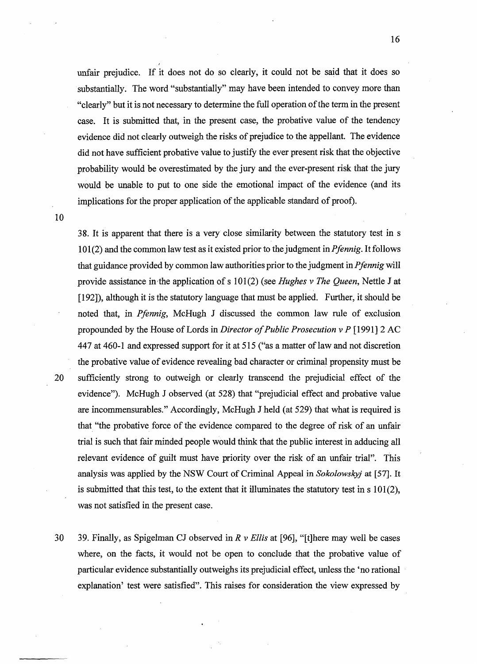unfair prejudice. If it does not do so clearly, it could not be said that it does so substantially. The word "substantially" may have been intended to convey more than "clearly" but it is not necessary to determine the full operation of the term in the present case. It is submitted that, in the present case, the probative value of the tendency evidence did not clearly outweigh the risks of prejudice to the appellant. The evidence did not have sufficient probative value to justify the ever present risk that the objective probability would be overestimated by the jury and the ever-present risk that the jury would be unable to put to one side the emotional impact of the evidence (and its implications for the proper application of the applicable standard of proof).

38. It is apparent that there is a very close similarity between the statutory test in s 101 (2) and the common law test as it existed prior to the judgment in *Pfennig.* It follows that guidance provided by common law authorities prior to the judgment in *Pfennig* will provide assistance in,the application of s 101(2) (see *Hughes v The Queen,* Nettle J at [192]), although it is the statutory language that must be applied. Further, it should be noted that, in *Pfennig,* McHugh J discussed the common law rule of exclusion propounded by the House of Lords in *Director of Public Prosecution v P* [1991] 2 AC 447 at 460-1 and expressed support for it at 515 ("as a matter of law and not discretion the probative value of evidence revealing bad character or criminal propensity must be 20 sufficiently strong to outweigh or clearly transcend the prejudicial effect of the evidence"). McHugh J observed (at 528) that "prejudicial effect and probative value are incommensurables." Accordingly, McHugh J held (at 529) that what is required is that "the probative force of the evidence compared to the degree of risk of an unfair trial is such that fair minded people would think that the public interest in adducing all relevant evidence of guilt must have priority over the risk of an unfair trial". This analysis was applied by the NSW Court of Criminal Appeal in *Sokolowskyj* at [57]. It is submitted that this test, to the extent that it illuminates the statutory test in  $s 101(2)$ , was not satisfied in the present case.

30 39. Finally, as Spigelman CJ observed in *R v Ellis* at [96], "[t]here may well be cases where, on the facts, it would not be open to conclude that the probative value of particular evidence substantially outweighs its prejudicial effect, unless the 'no rational explanation' test were satisfied". This raises for consideration the view expressed by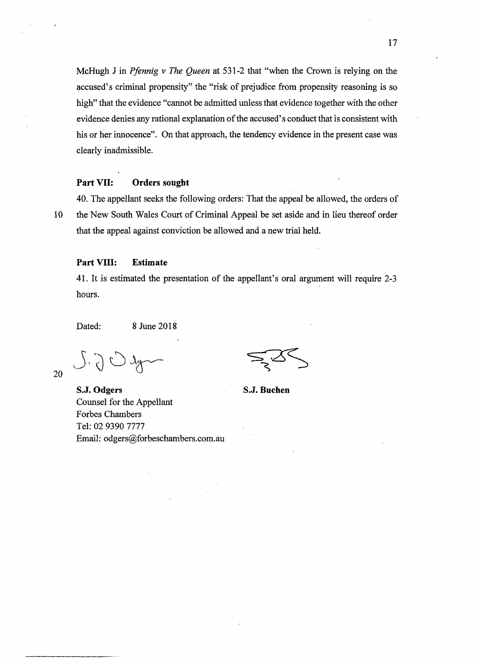McHugh J in *Pfennig v The Queen* at 531-2 that "when the Crown is relying on the accused's criminal propensity" the "risk of prejudice from propensity reasoning is so high" that the evidence "cannot be admitted unless that evidence together with the other evidence denies any rational explanation of the accused's conduct that is consistent with his or her innocence". On that approach, the tendency evidence in the present case was clearly inadmissible.

## **Part VII: Orders sought**

20

40. The appellant seeks the following orders: That the appeal be allowed, the orders of 10 the New South Wales Court of Criminal Appeal be set aside and in lieu thereof order that the appeal against conviction be allowed and a new trial held.

### **Part VIII: Estimate**

41. It is estimated the presentation of the appellant's oral argument will require 2-3 hours.

Dated: 8 June 2018

**S.J. Odgers**  Counsel for the Appellant Forbes Chambers Tel: 02 9390 7777 Email: odgers@forbeschambers.com.au

**S.J. Buchen**